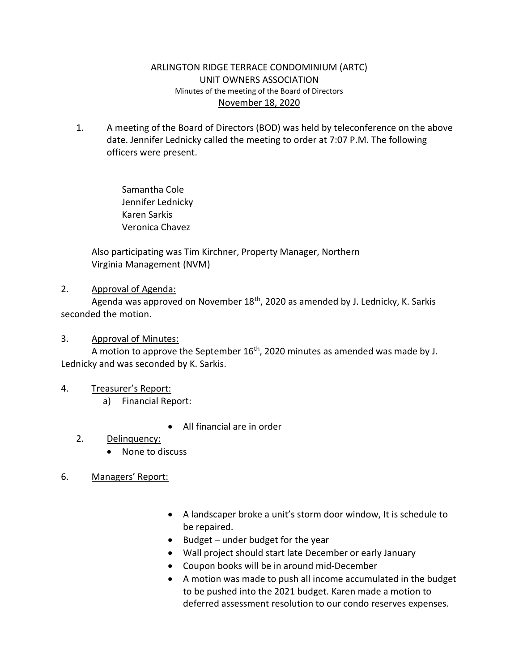## ARLINGTON RIDGE TERRACE CONDOMINIUM (ARTC) UNIT OWNERS ASSOCIATION Minutes of the meeting of the Board of Directors November 18, 2020

1. A meeting of the Board of Directors (BOD) was held by teleconference on the above date. Jennifer Lednicky called the meeting to order at 7:07 P.M. The following officers were present.

> Samantha Cole Jennifer Lednicky Karen Sarkis Veronica Chavez

 Also participating was Tim Kirchner, Property Manager, Northern Virginia Management (NVM)

## 2. Approval of Agenda:

Agenda was approved on November 18<sup>th</sup>, 2020 as amended by J. Lednicky, K. Sarkis seconded the motion.

## 3. Approval of Minutes:

A motion to approve the September  $16<sup>th</sup>$ , 2020 minutes as amended was made by J. Lednicky and was seconded by K. Sarkis.

# 4. Treasurer's Report:

a) Financial Report:

All financial are in order

# 2. Delinquency:

• None to discuss

# 6. Managers' Report:

- A landscaper broke a unit's storm door window, It is schedule to be repaired.
- $\bullet$  Budget under budget for the year
- Wall project should start late December or early January
- Coupon books will be in around mid-December
- A motion was made to push all income accumulated in the budget to be pushed into the 2021 budget. Karen made a motion to deferred assessment resolution to our condo reserves expenses.